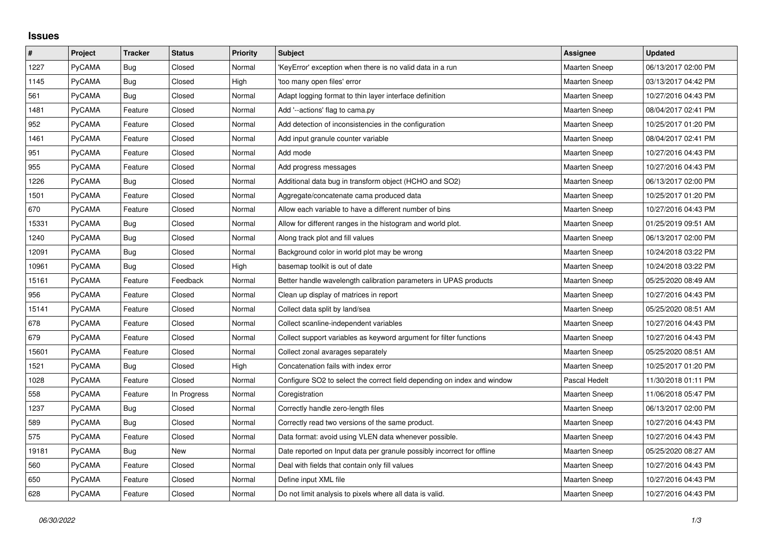## **Issues**

| $\vert$ # | Project       | <b>Tracker</b> | <b>Status</b> | <b>Priority</b> | <b>Subject</b>                                                          | <b>Assignee</b>      | <b>Updated</b>      |
|-----------|---------------|----------------|---------------|-----------------|-------------------------------------------------------------------------|----------------------|---------------------|
| 1227      | PyCAMA        | Bug            | Closed        | Normal          | KeyError' exception when there is no valid data in a run                | Maarten Sneep        | 06/13/2017 02:00 PM |
| 1145      | <b>PyCAMA</b> | Bug            | Closed        | High            | 'too many open files' error                                             | <b>Maarten Sneep</b> | 03/13/2017 04:42 PM |
| 561       | PyCAMA        | <b>Bug</b>     | Closed        | Normal          | Adapt logging format to thin layer interface definition                 | <b>Maarten Sneep</b> | 10/27/2016 04:43 PM |
| 1481      | <b>PyCAMA</b> | Feature        | Closed        | Normal          | Add '--actions' flag to cama.py                                         | <b>Maarten Sneep</b> | 08/04/2017 02:41 PM |
| 952       | PyCAMA        | Feature        | Closed        | Normal          | Add detection of inconsistencies in the configuration                   | <b>Maarten Sneep</b> | 10/25/2017 01:20 PM |
| 1461      | <b>PyCAMA</b> | Feature        | Closed        | Normal          | Add input granule counter variable                                      | <b>Maarten Sneep</b> | 08/04/2017 02:41 PM |
| 951       | <b>PyCAMA</b> | Feature        | Closed        | Normal          | Add mode                                                                | <b>Maarten Sneep</b> | 10/27/2016 04:43 PM |
| 955       | PyCAMA        | Feature        | Closed        | Normal          | Add progress messages                                                   | Maarten Sneep        | 10/27/2016 04:43 PM |
| 1226      | <b>PyCAMA</b> | Bug            | Closed        | Normal          | Additional data bug in transform object (HCHO and SO2)                  | <b>Maarten Sneep</b> | 06/13/2017 02:00 PM |
| 1501      | <b>PyCAMA</b> | Feature        | Closed        | Normal          | Aggregate/concatenate cama produced data                                | <b>Maarten Sneep</b> | 10/25/2017 01:20 PM |
| 670       | PyCAMA        | Feature        | Closed        | Normal          | Allow each variable to have a different number of bins                  | <b>Maarten Sneep</b> | 10/27/2016 04:43 PM |
| 15331     | PyCAMA        | <b>Bug</b>     | Closed        | Normal          | Allow for different ranges in the histogram and world plot.             | <b>Maarten Sneep</b> | 01/25/2019 09:51 AM |
| 1240      | <b>PyCAMA</b> | Bug            | Closed        | Normal          | Along track plot and fill values                                        | <b>Maarten Sneep</b> | 06/13/2017 02:00 PM |
| 12091     | PyCAMA        | Bug            | Closed        | Normal          | Background color in world plot may be wrong                             | Maarten Sneep        | 10/24/2018 03:22 PM |
| 10961     | PyCAMA        | <b>Bug</b>     | Closed        | High            | basemap toolkit is out of date                                          | <b>Maarten Sneep</b> | 10/24/2018 03:22 PM |
| 15161     | PyCAMA        | Feature        | Feedback      | Normal          | Better handle wavelength calibration parameters in UPAS products        | <b>Maarten Sneep</b> | 05/25/2020 08:49 AM |
| 956       | PyCAMA        | Feature        | Closed        | Normal          | Clean up display of matrices in report                                  | <b>Maarten Sneep</b> | 10/27/2016 04:43 PM |
| 15141     | PyCAMA        | Feature        | Closed        | Normal          | Collect data split by land/sea                                          | <b>Maarten Sneep</b> | 05/25/2020 08:51 AM |
| 678       | <b>PyCAMA</b> | Feature        | Closed        | Normal          | Collect scanline-independent variables                                  | <b>Maarten Sneep</b> | 10/27/2016 04:43 PM |
| 679       | PyCAMA        | Feature        | Closed        | Normal          | Collect support variables as keyword argument for filter functions      | Maarten Sneep        | 10/27/2016 04:43 PM |
| 15601     | PyCAMA        | Feature        | Closed        | Normal          | Collect zonal avarages separately                                       | <b>Maarten Sneep</b> | 05/25/2020 08:51 AM |
| 1521      | <b>PyCAMA</b> | Bug            | Closed        | High            | Concatenation fails with index error                                    | <b>Maarten Sneep</b> | 10/25/2017 01:20 PM |
| 1028      | PyCAMA        | Feature        | Closed        | Normal          | Configure SO2 to select the correct field depending on index and window | Pascal Hedelt        | 11/30/2018 01:11 PM |
| 558       | <b>PyCAMA</b> | Feature        | In Progress   | Normal          | Coregistration                                                          | <b>Maarten Sneep</b> | 11/06/2018 05:47 PM |
| 1237      | <b>PyCAMA</b> | Bug            | Closed        | Normal          | Correctly handle zero-length files                                      | <b>Maarten Sneep</b> | 06/13/2017 02:00 PM |
| 589       | PyCAMA        | Bug            | Closed        | Normal          | Correctly read two versions of the same product.                        | Maarten Sneep        | 10/27/2016 04:43 PM |
| 575       | <b>PyCAMA</b> | Feature        | Closed        | Normal          | Data format: avoid using VLEN data whenever possible.                   | <b>Maarten Sneep</b> | 10/27/2016 04:43 PM |
| 19181     | PyCAMA        | <b>Bug</b>     | New           | Normal          | Date reported on Input data per granule possibly incorrect for offline  | <b>Maarten Sneep</b> | 05/25/2020 08:27 AM |
| 560       | PyCAMA        | Feature        | Closed        | Normal          | Deal with fields that contain only fill values                          | Maarten Sneep        | 10/27/2016 04:43 PM |
| 650       | <b>PyCAMA</b> | Feature        | Closed        | Normal          | Define input XML file                                                   | <b>Maarten Sneep</b> | 10/27/2016 04:43 PM |
| 628       | PyCAMA        | Feature        | Closed        | Normal          | Do not limit analysis to pixels where all data is valid.                | Maarten Sneep        | 10/27/2016 04:43 PM |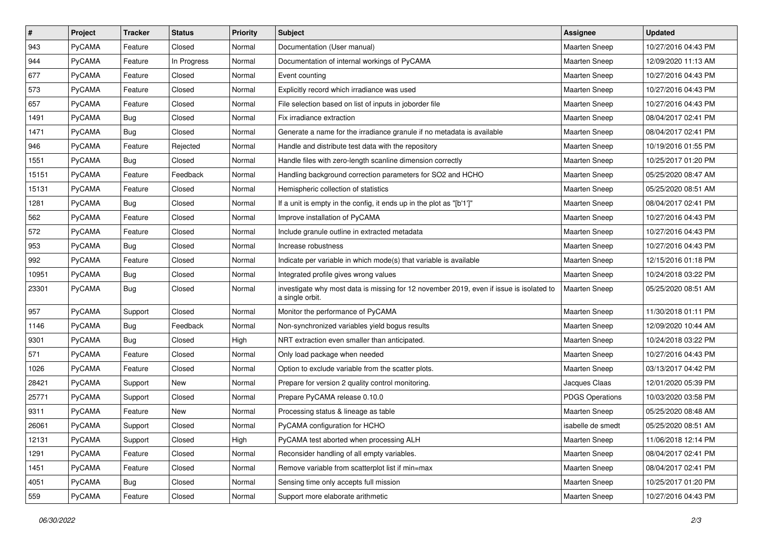| $\pmb{\#}$ | Project       | <b>Tracker</b> | <b>Status</b> | <b>Priority</b> | <b>Subject</b>                                                                                             | Assignee               | <b>Updated</b>      |
|------------|---------------|----------------|---------------|-----------------|------------------------------------------------------------------------------------------------------------|------------------------|---------------------|
| 943        | PyCAMA        | Feature        | Closed        | Normal          | Documentation (User manual)                                                                                | Maarten Sneep          | 10/27/2016 04:43 PM |
| 944        | PyCAMA        | Feature        | In Progress   | Normal          | Documentation of internal workings of PyCAMA                                                               | Maarten Sneep          | 12/09/2020 11:13 AM |
| 677        | PyCAMA        | Feature        | Closed        | Normal          | Event counting                                                                                             | <b>Maarten Sneep</b>   | 10/27/2016 04:43 PM |
| 573        | PyCAMA        | Feature        | Closed        | Normal          | Explicitly record which irradiance was used                                                                | Maarten Sneep          | 10/27/2016 04:43 PM |
| 657        | PyCAMA        | Feature        | Closed        | Normal          | File selection based on list of inputs in joborder file                                                    | Maarten Sneep          | 10/27/2016 04:43 PM |
| 1491       | PyCAMA        | Bug            | Closed        | Normal          | Fix irradiance extraction                                                                                  | Maarten Sneep          | 08/04/2017 02:41 PM |
| 1471       | PyCAMA        | <b>Bug</b>     | Closed        | Normal          | Generate a name for the irradiance granule if no metadata is available                                     | Maarten Sneep          | 08/04/2017 02:41 PM |
| 946        | PyCAMA        | Feature        | Rejected      | Normal          | Handle and distribute test data with the repository                                                        | Maarten Sneep          | 10/19/2016 01:55 PM |
| 1551       | PyCAMA        | <b>Bug</b>     | Closed        | Normal          | Handle files with zero-length scanline dimension correctly                                                 | <b>Maarten Sneep</b>   | 10/25/2017 01:20 PM |
| 15151      | PyCAMA        | Feature        | Feedback      | Normal          | Handling background correction parameters for SO2 and HCHO                                                 | <b>Maarten Sneep</b>   | 05/25/2020 08:47 AM |
| 15131      | PyCAMA        | Feature        | Closed        | Normal          | Hemispheric collection of statistics                                                                       | <b>Maarten Sneep</b>   | 05/25/2020 08:51 AM |
| 1281       | PyCAMA        | Bug            | Closed        | Normal          | If a unit is empty in the config, it ends up in the plot as "[b'1']"                                       | <b>Maarten Sneep</b>   | 08/04/2017 02:41 PM |
| 562        | PyCAMA        | Feature        | Closed        | Normal          | Improve installation of PyCAMA                                                                             | Maarten Sneep          | 10/27/2016 04:43 PM |
| 572        | PyCAMA        | Feature        | Closed        | Normal          | Include granule outline in extracted metadata                                                              | Maarten Sneep          | 10/27/2016 04:43 PM |
| 953        | PyCAMA        | <b>Bug</b>     | Closed        | Normal          | Increase robustness                                                                                        | <b>Maarten Sneep</b>   | 10/27/2016 04:43 PM |
| 992        | PyCAMA        | Feature        | Closed        | Normal          | Indicate per variable in which mode(s) that variable is available                                          | <b>Maarten Sneep</b>   | 12/15/2016 01:18 PM |
| 10951      | PyCAMA        | <b>Bug</b>     | Closed        | Normal          | Integrated profile gives wrong values                                                                      | <b>Maarten Sneep</b>   | 10/24/2018 03:22 PM |
| 23301      | <b>PyCAMA</b> | Bug            | Closed        | Normal          | investigate why most data is missing for 12 november 2019, even if issue is isolated to<br>a single orbit. | <b>Maarten Sneep</b>   | 05/25/2020 08:51 AM |
| 957        | PyCAMA        | Support        | Closed        | Normal          | Monitor the performance of PyCAMA                                                                          | <b>Maarten Sneep</b>   | 11/30/2018 01:11 PM |
| 1146       | PyCAMA        | <b>Bug</b>     | Feedback      | Normal          | Non-synchronized variables yield bogus results                                                             | <b>Maarten Sneep</b>   | 12/09/2020 10:44 AM |
| 9301       | PyCAMA        | Bug            | Closed        | High            | NRT extraction even smaller than anticipated.                                                              | <b>Maarten Sneep</b>   | 10/24/2018 03:22 PM |
| 571        | PyCAMA        | Feature        | Closed        | Normal          | Only load package when needed                                                                              | <b>Maarten Sneep</b>   | 10/27/2016 04:43 PM |
| 1026       | PyCAMA        | Feature        | Closed        | Normal          | Option to exclude variable from the scatter plots.                                                         | <b>Maarten Sneep</b>   | 03/13/2017 04:42 PM |
| 28421      | PyCAMA        | Support        | New           | Normal          | Prepare for version 2 quality control monitoring.                                                          | Jacques Claas          | 12/01/2020 05:39 PM |
| 25771      | PyCAMA        | Support        | Closed        | Normal          | Prepare PyCAMA release 0.10.0                                                                              | <b>PDGS Operations</b> | 10/03/2020 03:58 PM |
| 9311       | PyCAMA        | Feature        | New           | Normal          | Processing status & lineage as table                                                                       | Maarten Sneep          | 05/25/2020 08:48 AM |
| 26061      | PyCAMA        | Support        | Closed        | Normal          | PyCAMA configuration for HCHO                                                                              | isabelle de smedt      | 05/25/2020 08:51 AM |
| 12131      | PyCAMA        | Support        | Closed        | High            | PyCAMA test aborted when processing ALH                                                                    | Maarten Sneep          | 11/06/2018 12:14 PM |
| 1291       | PyCAMA        | Feature        | Closed        | Normal          | Reconsider handling of all empty variables.                                                                | Maarten Sneep          | 08/04/2017 02:41 PM |
| 1451       | PyCAMA        | Feature        | Closed        | Normal          | Remove variable from scatterplot list if min=max                                                           | Maarten Sneep          | 08/04/2017 02:41 PM |
| 4051       | PyCAMA        | <b>Bug</b>     | Closed        | Normal          | Sensing time only accepts full mission                                                                     | Maarten Sneep          | 10/25/2017 01:20 PM |
| 559        | PyCAMA        | Feature        | Closed        | Normal          | Support more elaborate arithmetic                                                                          | Maarten Sneep          | 10/27/2016 04:43 PM |